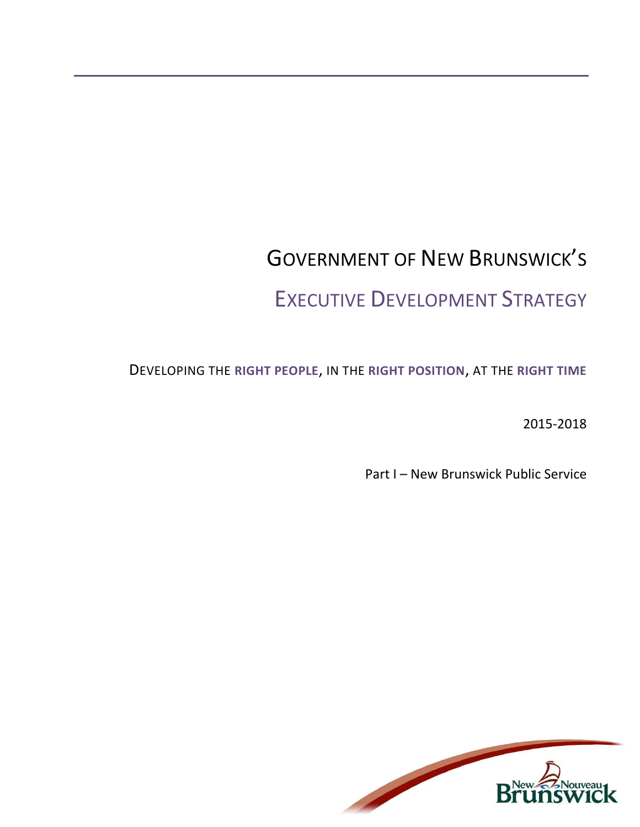# GOVERNMENT OF NEW BRUNSWICK'S EXECUTIVE DEVELOPMENT STRATEGY

DEVELOPING THE **RIGHT PEOPLE**, IN THE **RIGHT POSITION**, AT THE **RIGHT TIME**

2015-2018

Part I – New Brunswick Public Service

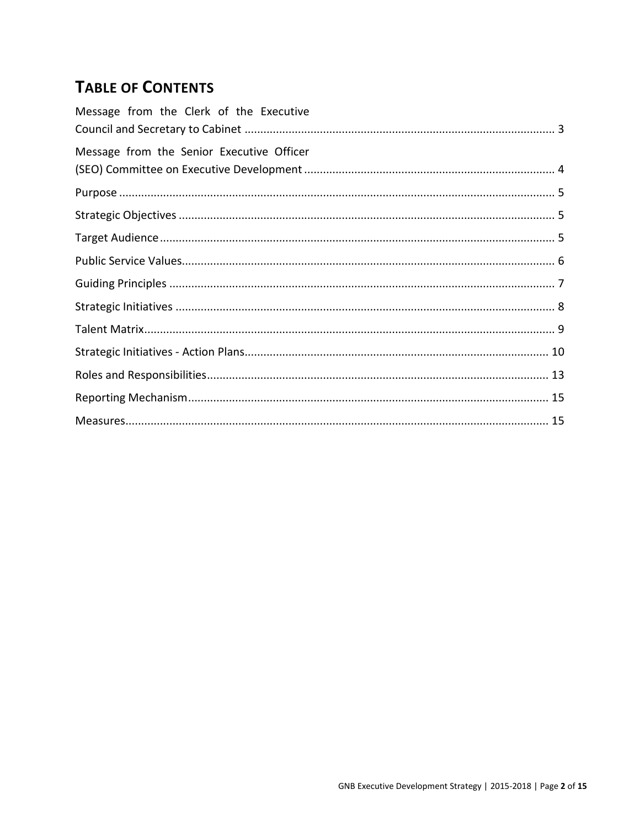# **TABLE OF CONTENTS**

| Message from the Clerk of the Executive   |
|-------------------------------------------|
| Message from the Senior Executive Officer |
|                                           |
|                                           |
|                                           |
|                                           |
|                                           |
|                                           |
|                                           |
|                                           |
|                                           |
|                                           |
|                                           |
|                                           |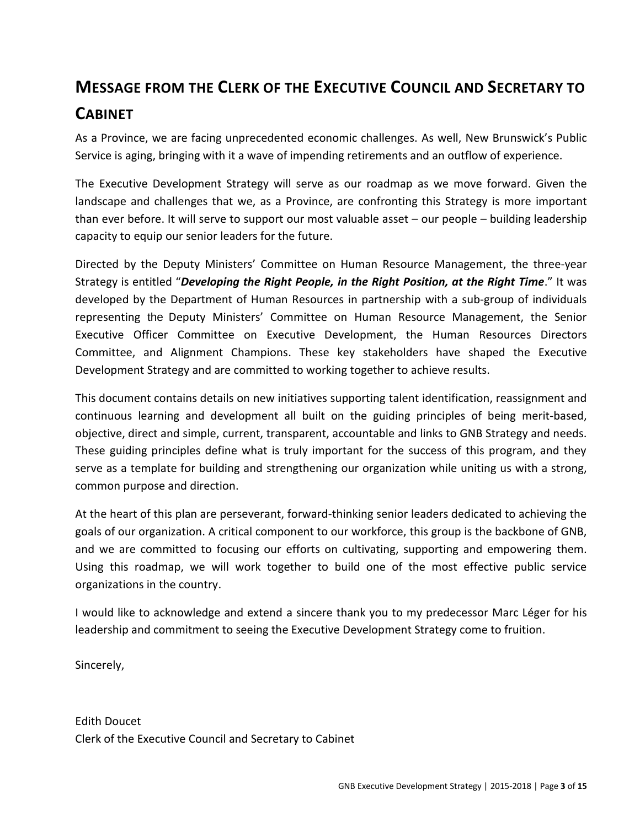# <span id="page-2-0"></span>**MESSAGE FROM THE CLERK OF THE EXECUTIVE COUNCIL AND SECRETARY TO CABINET**

As a Province, we are facing unprecedented economic challenges. As well, New Brunswick's Public Service is aging, bringing with it a wave of impending retirements and an outflow of experience.

The Executive Development Strategy will serve as our roadmap as we move forward. Given the landscape and challenges that we, as a Province, are confronting this Strategy is more important than ever before. It will serve to support our most valuable asset – our people – building leadership capacity to equip our senior leaders for the future.

Directed by the Deputy Ministers' Committee on Human Resource Management, the three-year Strategy is entitled "*Developing the Right People, in the Right Position, at the Right Time*." It was developed by the Department of Human Resources in partnership with a sub-group of individuals representing the Deputy Ministers' Committee on Human Resource Management, the Senior Executive Officer Committee on Executive Development, the Human Resources Directors Committee, and Alignment Champions. These key stakeholders have shaped the Executive Development Strategy and are committed to working together to achieve results.

This document contains details on new initiatives supporting talent identification, reassignment and continuous learning and development all built on the guiding principles of being merit-based, objective, direct and simple, current, transparent, accountable and links to GNB Strategy and needs. These guiding principles define what is truly important for the success of this program, and they serve as a template for building and strengthening our organization while uniting us with a strong, common purpose and direction.

At the heart of this plan are perseverant, forward-thinking senior leaders dedicated to achieving the goals of our organization. A critical component to our workforce, this group is the backbone of GNB, and we are committed to focusing our efforts on cultivating, supporting and empowering them. Using this roadmap, we will work together to build one of the most effective public service organizations in the country.

I would like to acknowledge and extend a sincere thank you to my predecessor Marc Léger for his leadership and commitment to seeing the Executive Development Strategy come to fruition.

Sincerely,

Edith Doucet Clerk of the Executive Council and Secretary to Cabinet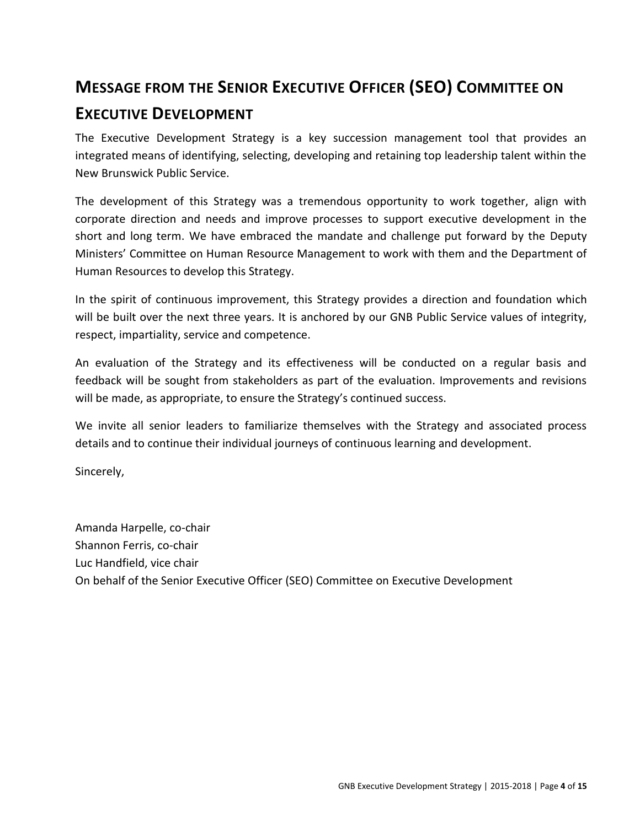# <span id="page-3-0"></span>**MESSAGE FROM THE SENIOR EXECUTIVE OFFICER (SEO) COMMITTEE ON**

### **EXECUTIVE DEVELOPMENT**

The Executive Development Strategy is a key succession management tool that provides an integrated means of identifying, selecting, developing and retaining top leadership talent within the New Brunswick Public Service.

The development of this Strategy was a tremendous opportunity to work together, align with corporate direction and needs and improve processes to support executive development in the short and long term. We have embraced the mandate and challenge put forward by the Deputy Ministers' Committee on Human Resource Management to work with them and the Department of Human Resources to develop this Strategy.

In the spirit of continuous improvement, this Strategy provides a direction and foundation which will be built over the next three years. It is anchored by our GNB Public Service values of integrity, respect, impartiality, service and competence.

An evaluation of the Strategy and its effectiveness will be conducted on a regular basis and feedback will be sought from stakeholders as part of the evaluation. Improvements and revisions will be made, as appropriate, to ensure the Strategy's continued success.

We invite all senior leaders to familiarize themselves with the Strategy and associated process details and to continue their individual journeys of continuous learning and development.

Sincerely,

Amanda Harpelle, co-chair Shannon Ferris, co-chair Luc Handfield, vice chair On behalf of the Senior Executive Officer (SEO) Committee on Executive Development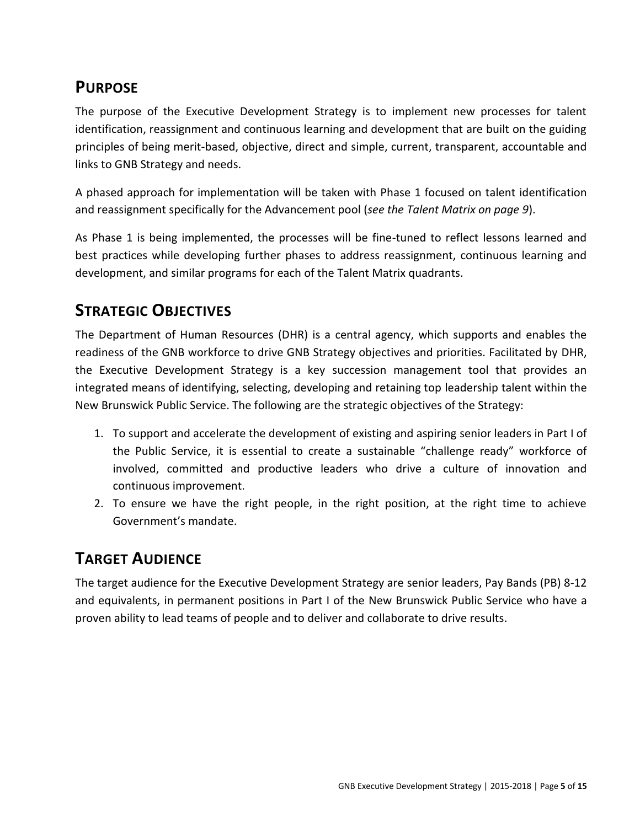# <span id="page-4-0"></span>**PURPOSE**

The purpose of the Executive Development Strategy is to implement new processes for talent identification, reassignment and continuous learning and development that are built on the guiding principles of being merit-based, objective, direct and simple, current, transparent, accountable and links to GNB Strategy and needs.

A phased approach for implementation will be taken with Phase 1 focused on talent identification and reassignment specifically for the Advancement pool (*see the Talent Matrix on page 9*).

As Phase 1 is being implemented, the processes will be fine-tuned to reflect lessons learned and best practices while developing further phases to address reassignment, continuous learning and development, and similar programs for each of the Talent Matrix quadrants.

# <span id="page-4-1"></span>**STRATEGIC OBJECTIVES**

The Department of Human Resources (DHR) is a central agency, which supports and enables the readiness of the GNB workforce to drive GNB Strategy objectives and priorities. Facilitated by DHR, the Executive Development Strategy is a key succession management tool that provides an integrated means of identifying, selecting, developing and retaining top leadership talent within the New Brunswick Public Service. The following are the strategic objectives of the Strategy:

- 1. To support and accelerate the development of existing and aspiring senior leaders in Part I of the Public Service, it is essential to create a sustainable "challenge ready" workforce of involved, committed and productive leaders who drive a culture of innovation and continuous improvement.
- 2. To ensure we have the right people, in the right position, at the right time to achieve Government's mandate.

# <span id="page-4-2"></span>**TARGET AUDIENCE**

The target audience for the Executive Development Strategy are senior leaders, Pay Bands (PB) 8-12 and equivalents, in permanent positions in Part I of the New Brunswick Public Service who have a proven ability to lead teams of people and to deliver and collaborate to drive results.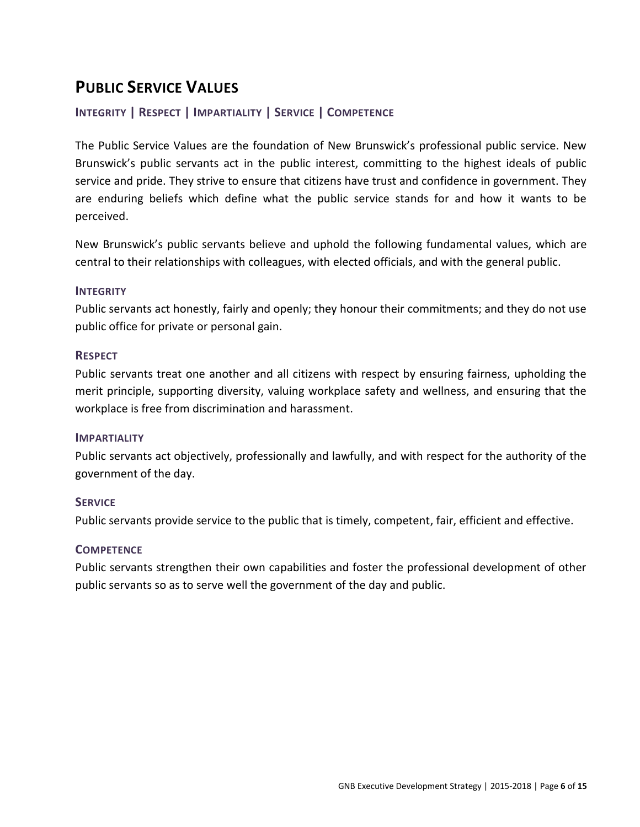# <span id="page-5-0"></span>**PUBLIC SERVICE VALUES**

### **INTEGRITY | RESPECT | IMPARTIALITY | SERVICE | COMPETENCE**

The Public Service Values are the foundation of New Brunswick's professional public service. New Brunswick's public servants act in the public interest, committing to the highest ideals of public service and pride. They strive to ensure that citizens have trust and confidence in government. They are enduring beliefs which define what the public service stands for and how it wants to be perceived.

New Brunswick's public servants believe and uphold the following fundamental values, which are central to their relationships with colleagues, with elected officials, and with the general public.

#### **INTEGRITY**

Public servants act honestly, fairly and openly; they honour their commitments; and they do not use public office for private or personal gain.

#### **RESPECT**

Public servants treat one another and all citizens with respect by ensuring fairness, upholding the merit principle, supporting diversity, valuing workplace safety and wellness, and ensuring that the workplace is free from discrimination and harassment.

#### **IMPARTIALITY**

Public servants act objectively, professionally and lawfully, and with respect for the authority of the government of the day.

#### **SERVICE**

Public servants provide service to the public that is timely, competent, fair, efficient and effective.

#### **COMPETENCE**

Public servants strengthen their own capabilities and foster the professional development of other public servants so as to serve well the government of the day and public.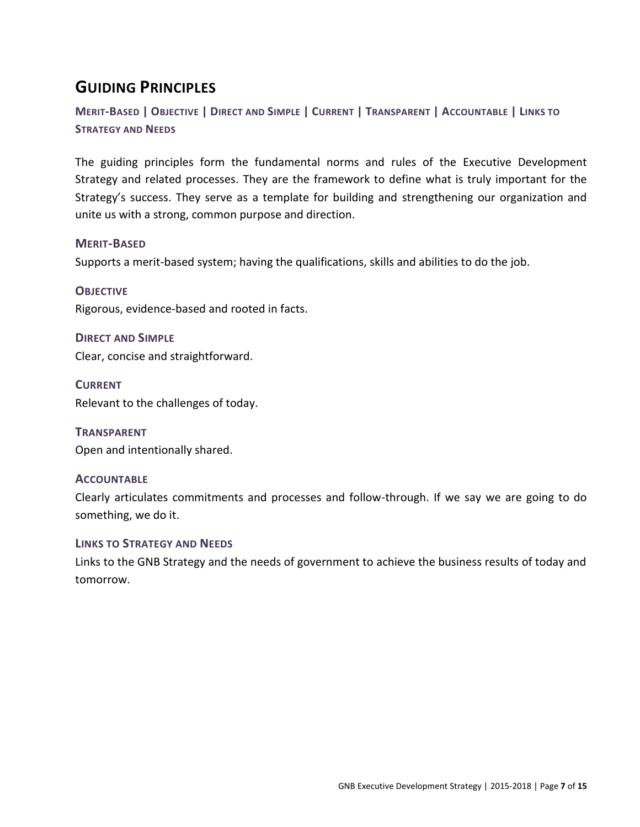# <span id="page-6-0"></span>**GUIDING PRINCIPLES**

MERIT-BASED | OBJECTIVE | DIRECT AND SIMPLE | CURRENT | TRANSPARENT | ACCOUNTABLE | LINKS TO **STRATEGY AND NEEDS**

The guiding principles form the fundamental norms and rules of the Executive Development Strategy and related processes. They are the framework to define what is truly important for the Strategy's success. They serve as a template for building and strengthening our organization and unite us with a strong, common purpose and direction.

#### **MERIT-BASED**

Supports a merit-based system; having the qualifications, skills and abilities to do the job.

**OBJECTIVE** Rigorous, evidence-based and rooted in facts.

**DIRECT AND SIMPLE** Clear, concise and straightforward.

**CURRENT** Relevant to the challenges of today.

**TRANSPARENT** Open and intentionally shared.

#### **ACCOUNTABLE**

Clearly articulates commitments and processes and follow-through. If we say we are going to do something, we do it.

#### **LINKS TO STRATEGY AND NEEDS**

Links to the GNB Strategy and the needs of government to achieve the business results of today and tomorrow.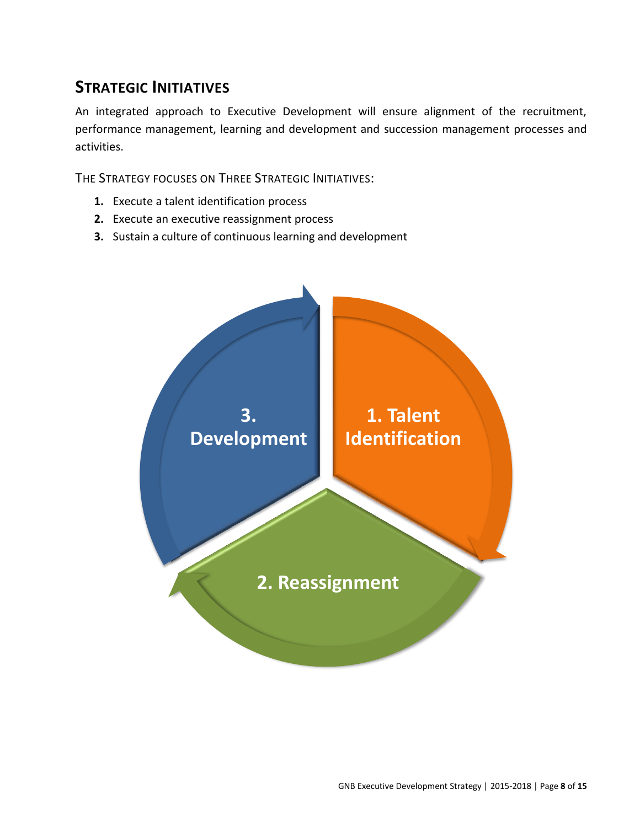# <span id="page-7-0"></span>**STRATEGIC INITIATIVES**

An integrated approach to Executive Development will ensure alignment of the recruitment, performance management, learning and development and succession management processes and activities.

THE STRATEGY FOCUSES ON THREE STRATEGIC INITIATIVES:

- **1.** Execute a talent identification process
- **2.** Execute an executive reassignment process
- **3.** Sustain a culture of continuous learning and development

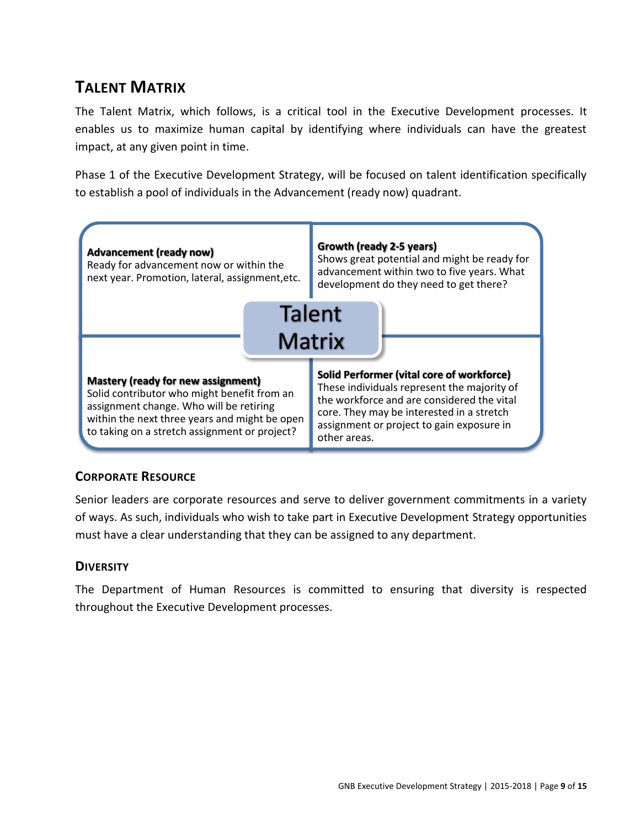# <span id="page-8-0"></span>**TALENT MATRIX**

The Talent Matrix, which follows, is a critical tool in the Executive Development processes. It enables us to maximize human capital by identifying where individuals can have the greatest impact, at any given point in time.

Phase 1 of the Executive Development Strategy, will be focused on talent identification specifically to establish a pool of individuals in the Advancement (ready now) quadrant.



### **CORPORATE RESOURCE**

Senior leaders are corporate resources and serve to deliver government commitments in a variety of ways. As such, individuals who wish to take part in Executive Development Strategy opportunities must have a clear understanding that they can be assigned to any department.

### **DIVERSITY**

The Department of Human Resources is committed to ensuring that diversity is respected throughout the Executive Development processes.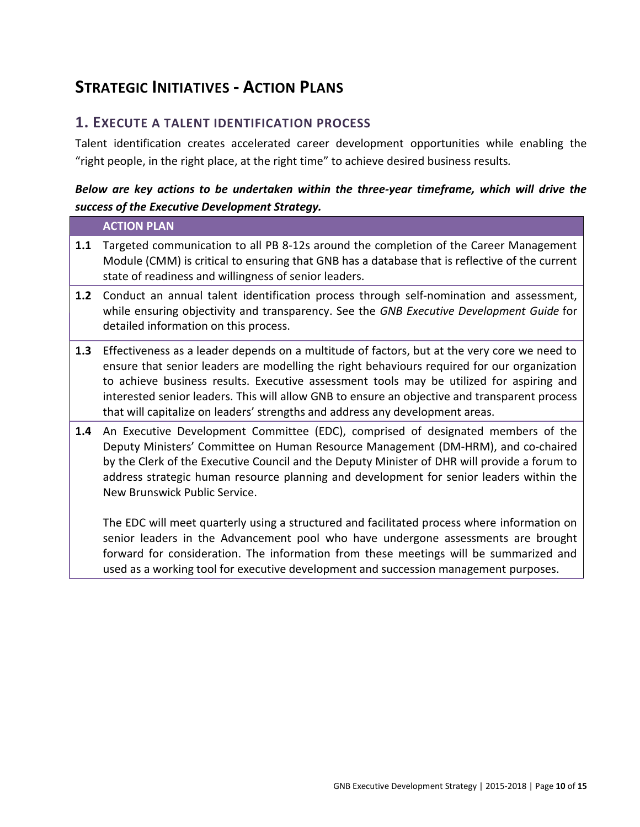# <span id="page-9-0"></span>**STRATEGIC INITIATIVES - ACTION PLANS**

### **1. EXECUTE A TALENT IDENTIFICATION PROCESS**

Talent identification creates accelerated career development opportunities while enabling the "right people, in the right place, at the right time" to achieve desired business results*.*

### *Below are key actions to be undertaken within the three-year timeframe, which will drive the success of the Executive Development Strategy.*

|     | <b>ACTION PLAN</b>                                                                                                                                                                                                                                                                                                                                                                                                                                                        |
|-----|---------------------------------------------------------------------------------------------------------------------------------------------------------------------------------------------------------------------------------------------------------------------------------------------------------------------------------------------------------------------------------------------------------------------------------------------------------------------------|
| 1.1 | Targeted communication to all PB 8-12s around the completion of the Career Management<br>Module (CMM) is critical to ensuring that GNB has a database that is reflective of the current<br>state of readiness and willingness of senior leaders.                                                                                                                                                                                                                          |
| 1.2 | Conduct an annual talent identification process through self-nomination and assessment,<br>while ensuring objectivity and transparency. See the GNB Executive Development Guide for<br>detailed information on this process.                                                                                                                                                                                                                                              |
| 1.3 | Effectiveness as a leader depends on a multitude of factors, but at the very core we need to<br>ensure that senior leaders are modelling the right behaviours required for our organization<br>to achieve business results. Executive assessment tools may be utilized for aspiring and<br>interested senior leaders. This will allow GNB to ensure an objective and transparent process<br>that will capitalize on leaders' strengths and address any development areas. |
| 1.4 | An Executive Development Committee (EDC), comprised of designated members of the<br>Deputy Ministers' Committee on Human Resource Management (DM-HRM), and co-chaired<br>by the Clerk of the Executive Council and the Deputy Minister of DHR will provide a forum to<br>address strategic human resource planning and development for senior leaders within the<br>New Brunswick Public Service.                                                                         |
|     | The EDC will meet quarterly using a structured and facilitated process where information on<br>senior leaders in the Advancement pool who have undergone assessments are brought<br>forward for consideration. The information from these meetings will be summarized and                                                                                                                                                                                                 |

used as a working tool for executive development and succession management purposes.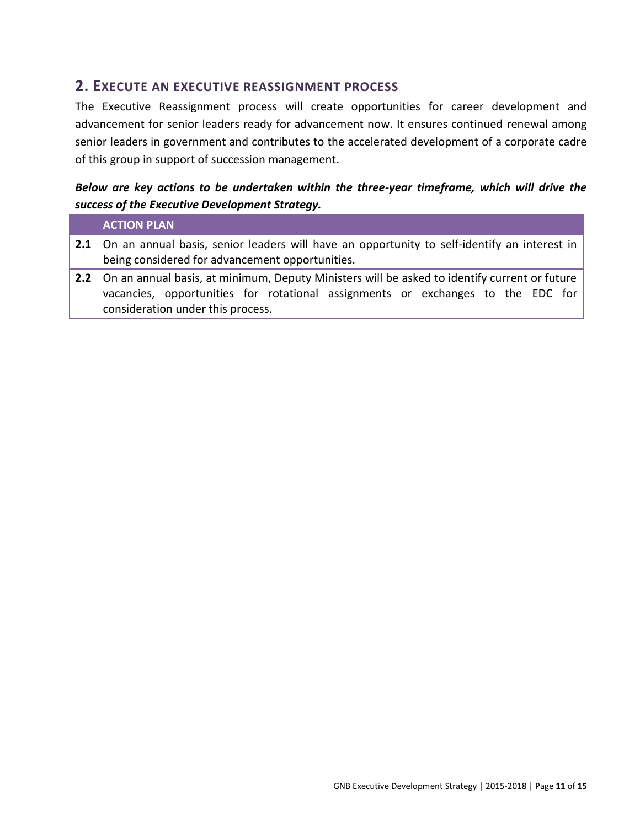### **2. EXECUTE AN EXECUTIVE REASSIGNMENT PROCESS**

The Executive Reassignment process will create opportunities for career development and advancement for senior leaders ready for advancement now. It ensures continued renewal among senior leaders in government and contributes to the accelerated development of a corporate cadre of this group in support of succession management.

### *Below are key actions to be undertaken within the three-year timeframe, which will drive the success of the Executive Development Strategy.*

#### **ACTION PLAN**

- **2.1** On an annual basis, senior leaders will have an opportunity to self-identify an interest in being considered for advancement opportunities.
- **2.2** On an annual basis, at minimum, Deputy Ministers will be asked to identify current or future vacancies, opportunities for rotational assignments or exchanges to the EDC for consideration under this process.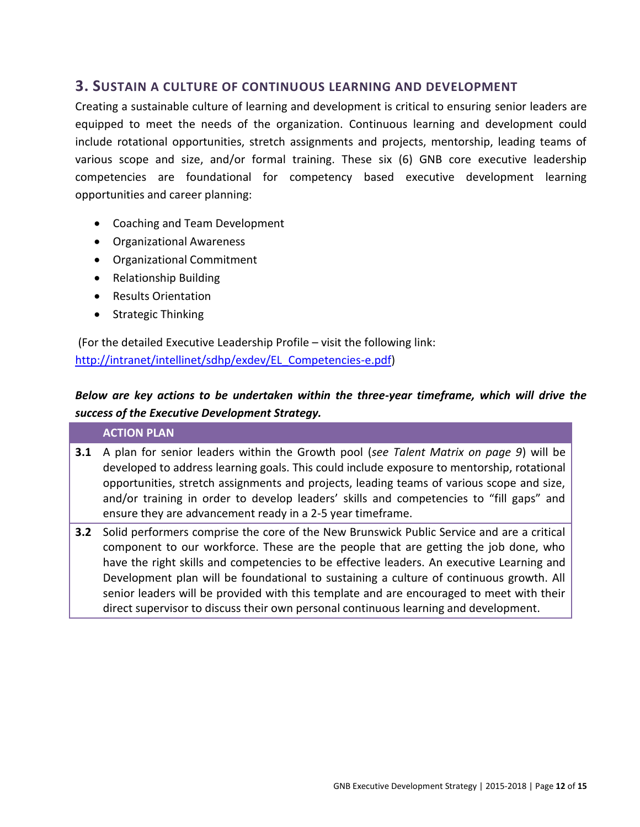### **3. SUSTAIN A CULTURE OF CONTINUOUS LEARNING AND DEVELOPMENT**

Creating a sustainable culture of learning and development is critical to ensuring senior leaders are equipped to meet the needs of the organization. Continuous learning and development could include rotational opportunities, stretch assignments and projects, mentorship, leading teams of various scope and size, and/or formal training. These six (6) GNB core executive leadership competencies are foundational for competency based executive development learning opportunities and career planning:

- Coaching and Team Development
- Organizational Awareness
- Organizational Commitment
- Relationship Building
- Results Orientation
- Strategic Thinking

(For the detailed Executive Leadership Profile – visit the following link: [http://intranet/intellinet/sdhp/exdev/EL\\_Competencies-e.pdf\)](http://intranet/intellinet/sdhp/exdev/EL_Competencies-e.pdf)

### *Below are key actions to be undertaken within the three-year timeframe, which will drive the success of the Executive Development Strategy.*

#### **ACTION PLAN**

- **3.1** A plan for senior leaders within the Growth pool (*see Talent Matrix on page 9*) will be developed to address learning goals. This could include exposure to mentorship, rotational opportunities, stretch assignments and projects, leading teams of various scope and size, and/or training in order to develop leaders' skills and competencies to "fill gaps" and ensure they are advancement ready in a 2-5 year timeframe.
- **3.2** Solid performers comprise the core of the New Brunswick Public Service and are a critical component to our workforce. These are the people that are getting the job done, who have the right skills and competencies to be effective leaders. An executive Learning and Development plan will be foundational to sustaining a culture of continuous growth. All senior leaders will be provided with this template and are encouraged to meet with their direct supervisor to discuss their own personal continuous learning and development.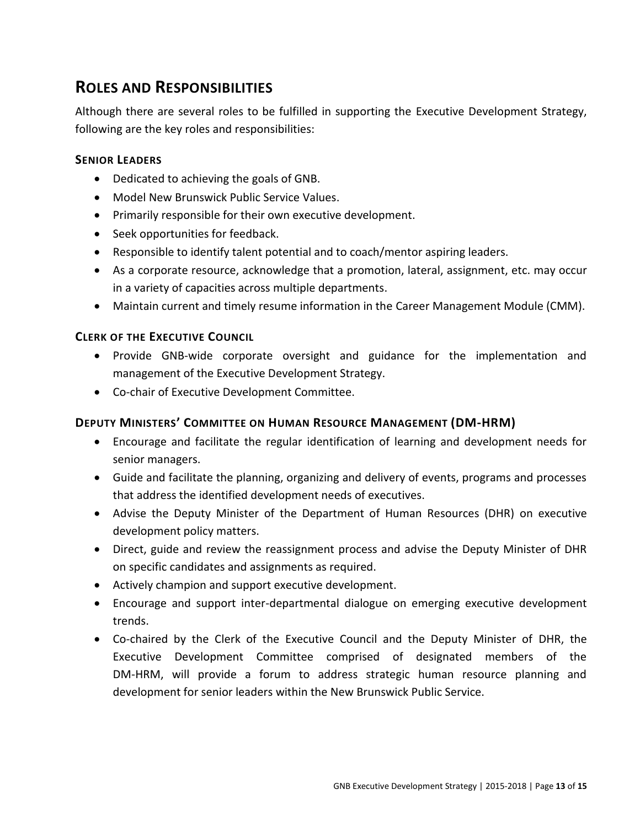# <span id="page-12-0"></span>**ROLES AND RESPONSIBILITIES**

Although there are several roles to be fulfilled in supporting the Executive Development Strategy, following are the key roles and responsibilities:

#### **SENIOR LEADERS**

- Dedicated to achieving the goals of GNB.
- Model New Brunswick Public Service Values.
- Primarily responsible for their own executive development.
- Seek opportunities for feedback.
- Responsible to identify talent potential and to coach/mentor aspiring leaders.
- As a corporate resource, acknowledge that a promotion, lateral, assignment, etc. may occur in a variety of capacities across multiple departments.
- Maintain current and timely resume information in the Career Management Module (CMM).

#### **CLERK OF THE EXECUTIVE COUNCIL**

- Provide GNB-wide corporate oversight and guidance for the implementation and management of the Executive Development Strategy.
- Co-chair of Executive Development Committee.

#### **DEPUTY MINISTERS' COMMITTEE ON HUMAN RESOURCE MANAGEMENT (DM-HRM)**

- Encourage and facilitate the regular identification of learning and development needs for senior managers.
- Guide and facilitate the planning, organizing and delivery of events, programs and processes that address the identified development needs of executives.
- Advise the Deputy Minister of the Department of Human Resources (DHR) on executive development policy matters.
- Direct, guide and review the reassignment process and advise the Deputy Minister of DHR on specific candidates and assignments as required.
- Actively champion and support executive development.
- Encourage and support inter-departmental dialogue on emerging executive development trends.
- Co-chaired by the Clerk of the Executive Council and the Deputy Minister of DHR, the Executive Development Committee comprised of designated members of the DM-HRM, will provide a forum to address strategic human resource planning and development for senior leaders within the New Brunswick Public Service.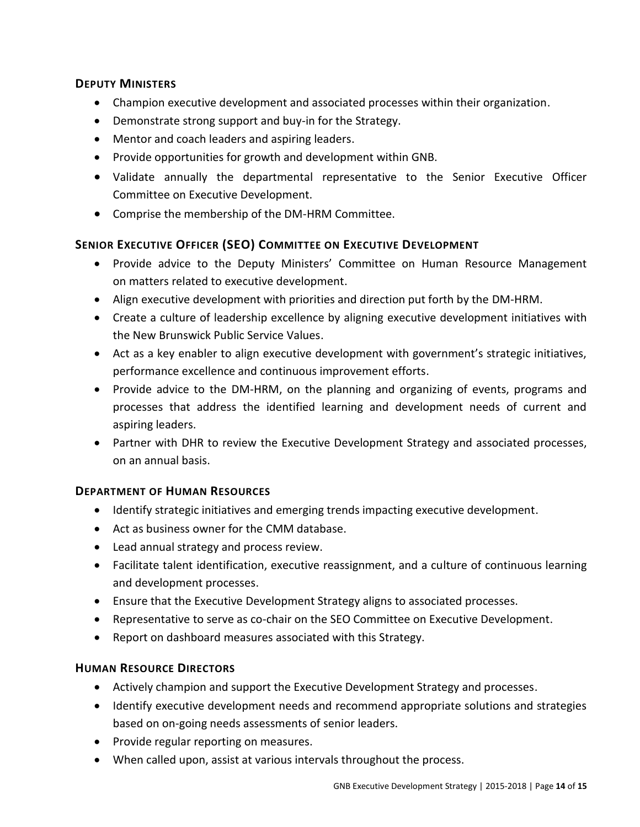#### **DEPUTY MINISTERS**

- Champion executive development and associated processes within their organization.
- Demonstrate strong support and buy-in for the Strategy.
- Mentor and coach leaders and aspiring leaders.
- Provide opportunities for growth and development within GNB.
- Validate annually the departmental representative to the Senior Executive Officer Committee on Executive Development.
- Comprise the membership of the DM-HRM Committee.

### **SENIOR EXECUTIVE OFFICER (SEO) COMMITTEE ON EXECUTIVE DEVELOPMENT**

- Provide advice to the Deputy Ministers' Committee on Human Resource Management on matters related to executive development.
- Align executive development with priorities and direction put forth by the DM-HRM.
- Create a culture of leadership excellence by aligning executive development initiatives with the New Brunswick Public Service Values.
- Act as a key enabler to align executive development with government's strategic initiatives, performance excellence and continuous improvement efforts.
- Provide advice to the DM-HRM, on the planning and organizing of events, programs and processes that address the identified learning and development needs of current and aspiring leaders.
- Partner with DHR to review the Executive Development Strategy and associated processes, on an annual basis.

### **DEPARTMENT OF HUMAN RESOURCES**

- Identify strategic initiatives and emerging trends impacting executive development.
- Act as business owner for the CMM database.
- Lead annual strategy and process review.
- Facilitate talent identification, executive reassignment, and a culture of continuous learning and development processes.
- Ensure that the Executive Development Strategy aligns to associated processes.
- Representative to serve as co-chair on the SEO Committee on Executive Development.
- Report on dashboard measures associated with this Strategy.

### **HUMAN RESOURCE DIRECTORS**

- Actively champion and support the Executive Development Strategy and processes.
- Identify executive development needs and recommend appropriate solutions and strategies based on on-going needs assessments of senior leaders.
- Provide regular reporting on measures.
- When called upon, assist at various intervals throughout the process.